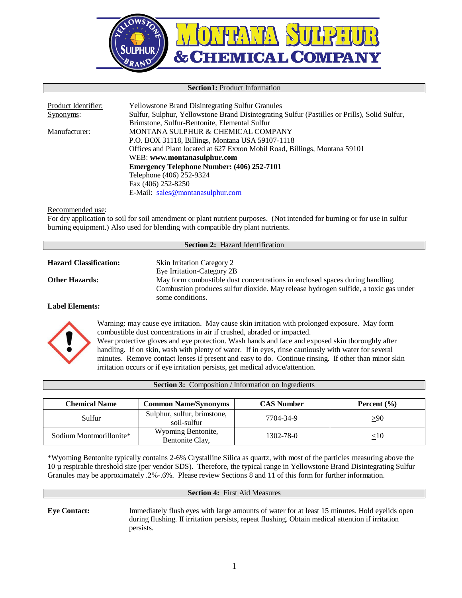

#### **Section1:** Product Information

| Product Identifier: | <b>Yellowstone Brand Disintegrating Sulfur Granules</b>                                       |
|---------------------|-----------------------------------------------------------------------------------------------|
| Synonyms:           | Sulfur, Sulphur, Yellowstone Brand Disintegrating Sulfur (Pastilles or Prills), Solid Sulfur, |
|                     | Brimstone, Sulfur-Bentonite, Elemental Sulfur                                                 |
| Manufacturer:       | MONTANA SULPHUR & CHEMICAL COMPANY                                                            |
|                     | P.O. BOX 31118, Billings, Montana USA 59107-1118                                              |
|                     | Offices and Plant located at 627 Exxon Mobil Road, Billings, Montana 59101                    |
|                     | WEB: www.montanasulphur.com                                                                   |
|                     | <b>Emergency Telephone Number: (406) 252-7101</b>                                             |
|                     | Telephone (406) 252-9324                                                                      |
|                     | Fax (406) 252-8250                                                                            |
|                     | E-Mail: sales@montanasulphur.com                                                              |

#### Recommended use:

For dry application to soil for soil amendment or plant nutrient purposes. (Not intended for burning or for use in sulfur burning equipment.) Also used for blending with compatible dry plant nutrients.

| <b>Section 2:</b> Hazard Identification |                                                                                                         |  |
|-----------------------------------------|---------------------------------------------------------------------------------------------------------|--|
|                                         |                                                                                                         |  |
| <b>Hazard Classification:</b>           | <b>Skin Irritation Category 2</b>                                                                       |  |
|                                         | Eye Irritation-Category 2B                                                                              |  |
| <b>Other Hazards:</b>                   | May form combustible dust concentrations in enclosed spaces during handling.                            |  |
|                                         | Combustion produces sulfur dioxide. May release hydrogen sulfide, a toxic gas under<br>some conditions. |  |
| <b>TIITI</b>                            |                                                                                                         |  |

#### **Label Elements:**



Warning: may cause eye irritation. May cause skin irritation with prolonged exposure. May form combustible dust concentrations in air if crushed, abraded or impacted. Wear protective gloves and eye protection. Wash hands and face and exposed skin thoroughly after handling. If on skin, wash with plenty of water. If in eyes, rinse cautiously with water for several minutes. Remove contact lenses if present and easy to do. Continue rinsing. If other than minor skin irritation occurs or if eye irritation persists, get medical advice/attention.

| <b>Section 3:</b> Composition / Information on Ingredients |                                            |                   |                 |
|------------------------------------------------------------|--------------------------------------------|-------------------|-----------------|
| Chemical Name                                              | <b>Common Name/Synonyms</b>                | <b>CAS Number</b> | Percent $(\% )$ |
| Sulfur                                                     | Sulphur, sulfur, brimstone,<br>soil-sulfur | 7704-34-9         | >90             |
| Sodium Montmorillonite*                                    | Wyoming Bentonite,<br>Bentonite Clay,      | 1302-78-0         | $<$ 10          |

\*Wyoming Bentonite typically contains 2-6% Crystalline Silica as quartz, with most of the particles measuring above the 10 µ respirable threshold size (per vendor SDS). Therefore, the typical range in Yellowstone Brand Disintegrating Sulfur Granules may be approximately .2%-.6%. Please review Sections 8 and 11 of this form for further information.

#### **Section 4:** First Aid Measures

**Eye Contact:** Immediately flush eyes with large amounts of water for at least 15 minutes. Hold eyelids open during flushing. If irritation persists, repeat flushing. Obtain medical attention if irritation persists.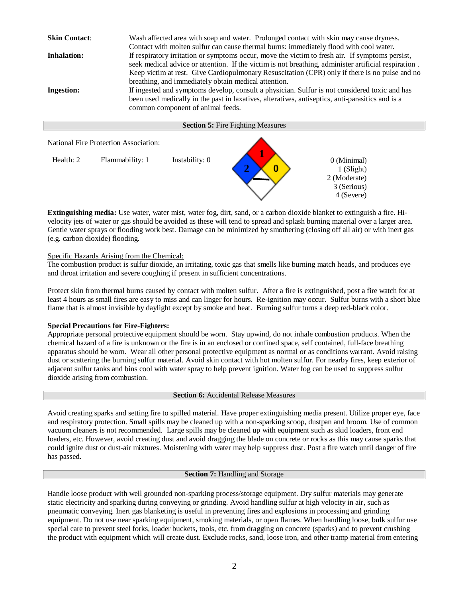**Skin Contact:** Wash affected area with soap and water. Prolonged contact with skin may cause dryness. Contact with molten sulfur can cause thermal burns: immediately flood with cool water. **Inhalation:** If respiratory irritation or symptoms occur, move the victim to fresh air. If symptoms persist, seek medical advice or attention. If the victim is not breathing, administer artificial respiration . Keep victim at rest. Give Cardiopulmonary Resuscitation (CPR) only if there is no pulse and no breathing, and immediately obtain medical attention. **Ingestion:** If ingested and symptoms develop, consult a physician. Sulfur is not considered toxic and has been used medically in the past in laxatives, alteratives, antiseptics, anti-parasitics and is a common component of animal feeds. **Section 5:** Fire Fighting Measures



**Extinguishing media:** Use water, water mist, water fog, dirt, sand, or a carbon dioxide blanket to extinguish a fire. Hivelocity jets of water or gas should be avoided as these will tend to spread and splash burning material over a larger area. Gentle water sprays or flooding work best. Damage can be minimized by smothering (closing off all air) or with inert gas (e.g. carbon dioxide) flooding.

# Specific Hazards Arising from the Chemical:

The combustion product is sulfur dioxide, an irritating, toxic gas that smells like burning match heads, and produces eye and throat irritation and severe coughing if present in sufficient concentrations.

Protect skin from thermal burns caused by contact with molten sulfur. After a fire is extinguished, post a fire watch for at least 4 hours as small fires are easy to miss and can linger for hours. Re-ignition may occur. Sulfur burns with a short blue flame that is almost invisible by daylight except by smoke and heat. Burning sulfur turns a deep red-black color.

# **Special Precautions for Fire-Fighters:**

Appropriate personal protective equipment should be worn. Stay upwind, do not inhale combustion products. When the chemical hazard of a fire is unknown or the fire is in an enclosed or confined space, self contained, full-face breathing apparatus should be worn. Wear all other personal protective equipment as normal or as conditions warrant. Avoid raising dust or scattering the burning sulfur material. Avoid skin contact with hot molten sulfur. For nearby fires, keep exterior of adjacent sulfur tanks and bins cool with water spray to help prevent ignition. Water fog can be used to suppress sulfur dioxide arising from combustion.

# **Section 6:** Accidental Release Measures

Avoid creating sparks and setting fire to spilled material. Have proper extinguishing media present. Utilize proper eye, face and respiratory protection. Small spills may be cleaned up with a non-sparking scoop, dustpan and broom. Use of common vacuum cleaners is not recommended. Large spills may be cleaned up with equipment such as skid loaders, front end loaders, etc. However, avoid creating dust and avoid dragging the blade on concrete or rocks as this may cause sparks that could ignite dust or dust-air mixtures. Moistening with water may help suppress dust. Post a fire watch until danger of fire has passed.

#### **Section 7:** Handling and Storage

Handle loose product with well grounded non-sparking process/storage equipment. Dry sulfur materials may generate static electricity and sparking during conveying or grinding. Avoid handling sulfur at high velocity in air, such as pneumatic conveying. Inert gas blanketing is useful in preventing fires and explosions in processing and grinding equipment. Do not use near sparking equipment, smoking materials, or open flames. When handling loose, bulk sulfur use special care to prevent steel forks, loader buckets, tools, etc. from dragging on concrete (sparks) and to prevent crushing the product with equipment which will create dust. Exclude rocks, sand, loose iron, and other tramp material from entering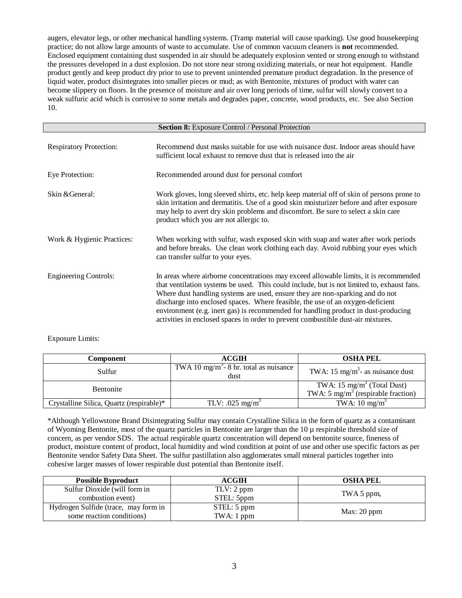augers, elevator legs, or other mechanical handling systems. (Tramp material will cause sparking). Use good housekeeping practice; do not allow large amounts of waste to accumulate. Use of common vacuum cleaners is **not** recommended. Enclosed equipment containing dust suspended in air should be adequately explosion vented or strong enough to withstand the pressures developed in a dust explosion. Do not store near strong oxidizing materials, or near hot equipment. Handle product gently and keep product dry prior to use to prevent unintended premature product degradation. In the presence of liquid water, product disintegrates into smaller pieces or mud; as with Bentonite, mixtures of product with water can become slippery on floors. In the presence of moisture and air over long periods of time, sulfur will slowly convert to a weak sulfuric acid which is corrosive to some metals and degrades paper, concrete, wood products, etc. See also Section 10.

| <b>Section 8:</b> Exposure Control / Personal Protection |                                                                                                                                                                                                                                                                                                                                                                                                                                                                                                                                  |  |
|----------------------------------------------------------|----------------------------------------------------------------------------------------------------------------------------------------------------------------------------------------------------------------------------------------------------------------------------------------------------------------------------------------------------------------------------------------------------------------------------------------------------------------------------------------------------------------------------------|--|
| <b>Respiratory Protection:</b>                           | Recommend dust masks suitable for use with nuisance dust. Indoor areas should have<br>sufficient local exhaust to remove dust that is released into the air                                                                                                                                                                                                                                                                                                                                                                      |  |
| Eye Protection:                                          | Recommended around dust for personal comfort                                                                                                                                                                                                                                                                                                                                                                                                                                                                                     |  |
| Skin & General:                                          | Work gloves, long sleeved shirts, etc. help keep material off of skin of persons prone to<br>skin irritation and dermatitis. Use of a good skin moisturizer before and after exposure<br>may help to avert dry skin problems and discomfort. Be sure to select a skin care<br>product which you are not allergic to.                                                                                                                                                                                                             |  |
| Work & Hygienic Practices:                               | When working with sulfur, wash exposed skin with soap and water after work periods<br>and before breaks. Use clean work clothing each day. Avoid rubbing your eyes which<br>can transfer sulfur to your eyes.                                                                                                                                                                                                                                                                                                                    |  |
| <b>Engineering Controls:</b>                             | In areas where airborne concentrations may exceed allowable limits, it is recommended<br>that ventilation systems be used. This could include, but is not limited to, exhaust fans.<br>Where dust handling systems are used, ensure they are non-sparking and do not<br>discharge into enclosed spaces. Where feasible, the use of an oxygen-deficient<br>environment (e.g. inert gas) is recommended for handling product in dust-producing<br>activities in enclosed spaces in order to prevent combustible dust-air mixtures. |  |

# Exposure Limits:

| Component                                | <b>ACGIH</b>                                               | <b>OSHA PEL</b>                                                                         |
|------------------------------------------|------------------------------------------------------------|-----------------------------------------------------------------------------------------|
| Sulfur                                   | TWA 10 mg/m <sup>3</sup> - 8 hr. total as nuisance<br>dust | TWA: 15 mg/m <sup>3</sup> - as nuisance dust                                            |
| <b>Bentonite</b>                         |                                                            | TWA: $15 \text{ mg/m}^3$ (Total Dust)<br>TWA: 5 mg/m <sup>3</sup> (respirable fraction) |
| Crystalline Silica, Quartz (respirable)* | TLV: .025 mg/m <sup>3</sup>                                | TWA: $10 \text{ mg/m}^3$                                                                |

\*Although Yellowstone Brand Disintegrating Sulfur may contain Crystalline Silica in the form of quartz as a contaminant of Wyoming Bentonite, most of the quartz particles in Bentonite are larger than the  $10 \mu$  respirable threshold size of concern, as per vendor SDS. The actual respirable quartz concentration will depend on bentonite source, fineness of product, moisture content of product, local humidity and wind condition at point of use and other use specific factors as per Bentonite vendor Safety Data Sheet. The sulfur pastillation also agglomerates small mineral particles together into cohesive larger masses of lower respirable dust potential than Bentonite itself.

| <b>Possible Byproduct</b>            | ACGIH       | <b>OSHA PEL</b> |  |
|--------------------------------------|-------------|-----------------|--|
| Sulfur Dioxide (will form in         | TLV: 2 ppm  |                 |  |
| combustion event)                    | STEL: 5ppm  | TWA 5 ppm,      |  |
| Hydrogen Sulfide (trace, may form in | STEL: 5 ppm |                 |  |
| some reaction conditions)            | TWA: 1 ppm  | Max: 20 ppm     |  |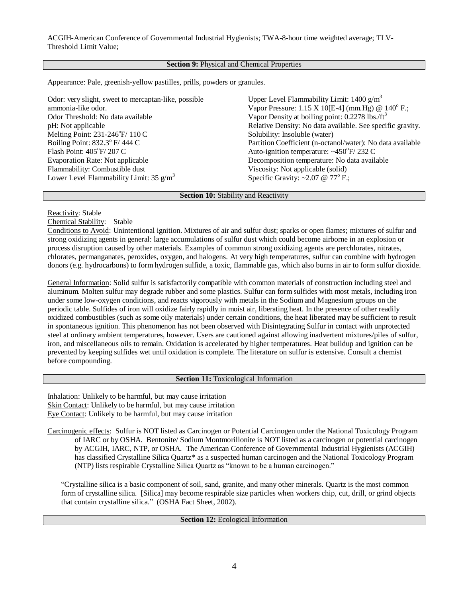## **Section 9:** Physical and Chemical Properties

Appearance: Pale, greenish-yellow pastilles, prills, powders or granules.

Odor: very slight, sweet to mercaptan-like, possible ammonia-like odor. Odor Threshold: No data available pH: Not applicable Melting Point:  $231-246^\circ F/ 110 C$ Boiling Point:  $832.3^{\circ}$  F/ 444 C Flash Point: 405°F/207 C Evaporation Rate: Not applicable Flammability: Combustible dust Lower Level Flammability Limit: 35  $g/m<sup>3</sup>$ Upper Level Flammability Limit:  $1400 \text{ g/m}^3$ Vapor Pressure:  $1.15 \text{ X } 10[$ E-4] (mm.Hg) @  $140^{\circ}$  F.; Vapor Density at boiling point:  $0.2278$  lbs./ft<sup>3</sup> Relative Density: No data available. See specific gravity. Solubility: Insoluble (water) Partition Coefficient (n-octanol/water): No data available Auto-ignition temperature:  $\sim450^{\circ}$ F/232 C Decomposition temperature: No data available Viscosity: Not applicable (solid) Specific Gravity: ~2.07 @ 77° F.;

## **Section 10:** Stability and Reactivity

# Reactivity: Stable

Chemical Stability: Stable

Conditions to Avoid: Unintentional ignition. Mixtures of air and sulfur dust; sparks or open flames; mixtures of sulfur and strong oxidizing agents in general: large accumulations of sulfur dust which could become airborne in an explosion or process disruption caused by other materials. Examples of common strong oxidizing agents are perchlorates, nitrates, chlorates, permanganates, peroxides, oxygen, and halogens. At very high temperatures, sulfur can combine with hydrogen donors (e.g. hydrocarbons) to form hydrogen sulfide, a toxic, flammable gas, which also burns in air to form sulfur dioxide.

General Information: Solid sulfur is satisfactorily compatible with common materials of construction including steel and aluminum. Molten sulfur may degrade rubber and some plastics. Sulfur can form sulfides with most metals, including iron under some low-oxygen conditions, and reacts vigorously with metals in the Sodium and Magnesium groups on the periodic table. Sulfides of iron will oxidize fairly rapidly in moist air, liberating heat. In the presence of other readily oxidized combustibles (such as some oily materials) under certain conditions, the heat liberated may be sufficient to result in spontaneous ignition. This phenomenon has not been observed with Disintegrating Sulfur in contact with unprotected steel at ordinary ambient temperatures, however. Users are cautioned against allowing inadvertent mixtures/piles of sulfur, iron, and miscellaneous oils to remain. Oxidation is accelerated by higher temperatures. Heat buildup and ignition can be prevented by keeping sulfides wet until oxidation is complete. The literature on sulfur is extensive. Consult a chemist before compounding.

### **Section 11:** Toxicological Information

Inhalation: Unlikely to be harmful, but may cause irritation Skin Contact: Unlikely to be harmful, but may cause irritation Eye Contact: Unlikely to be harmful, but may cause irritation

Carcinogenic effects: Sulfur is NOT listed as Carcinogen or Potential Carcinogen under the National Toxicology Program of IARC or by OSHA. Bentonite/ Sodium Montmorillonite is NOT listed as a carcinogen or potential carcinogen by ACGIH, IARC, NTP, or OSHA. The American Conference of Governmental Industrial Hygienists (ACGIH) has classified Crystalline Silica Quartz\* as a suspected human carcinogen and the National Toxicology Program (NTP) lists respirable Crystalline Silica Quartz as "known to be a human carcinogen."

"Crystalline silica is a basic component of soil, sand, granite, and many other minerals. Quartz is the most common form of crystalline silica. [Silica] may become respirable size particles when workers chip, cut, drill, or grind objects that contain crystalline silica." (OSHA Fact Sheet, 2002).

# **Section 12:** Ecological Information